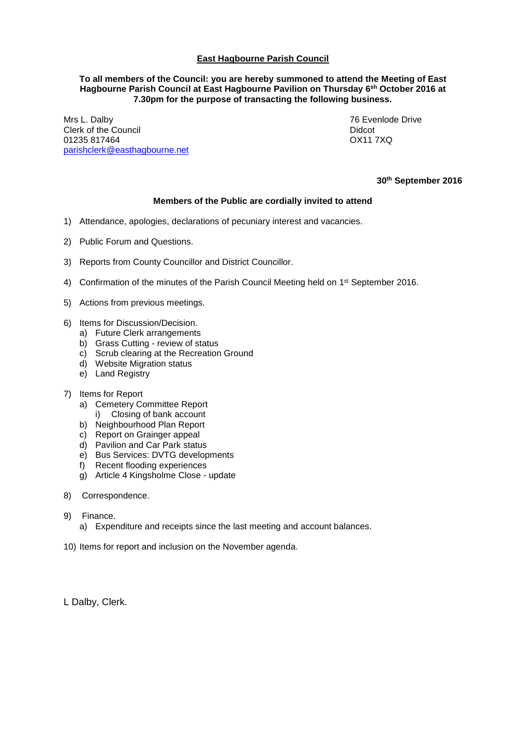## **East Hagbourne Parish Council**

#### **To all members of the Council: you are hereby summoned to attend the Meeting of East Hagbourne Parish Council at East Hagbourne Pavilion on Thursday 6 sh October 2016 at 7.30pm for the purpose of transacting the following business.**

Mrs L. Dalby 76 Evenlode Drive Clerk of the Council<br>
01235 817464<br>
0211 7XQ 01235 817464 [parishclerk@easthagbourne.net](mailto:parishclerk@easthagbourne.net)

**30 th September 2016**

### **Members of the Public are cordially invited to attend**

- 1) Attendance, apologies, declarations of pecuniary interest and vacancies.
- 2) Public Forum and Questions.
- 3) Reports from County Councillor and District Councillor.
- 4) Confirmation of the minutes of the Parish Council Meeting held on 1<sup>st</sup> September 2016.
- 5) Actions from previous meetings.
- 6) Items for Discussion/Decision.
	- a) Future Clerk arrangements
	- b) Grass Cutting review of status
	- c) Scrub clearing at the Recreation Ground
	- d) Website Migration status
	- e) Land Registry

#### 7) Items for Report

- a) Cemetery Committee Report
- i) Closing of bank account
- b) Neighbourhood Plan Report
- c) Report on Grainger appeal
- d) Pavilion and Car Park status
- e) Bus Services: DVTG developments
- f) Recent flooding experiences
- g) Article 4 Kingsholme Close update
- 8) Correspondence.
- 9) Finance.
	- a) Expenditure and receipts since the last meeting and account balances.
- 10) Items for report and inclusion on the November agenda.
- L Dalby, Clerk.